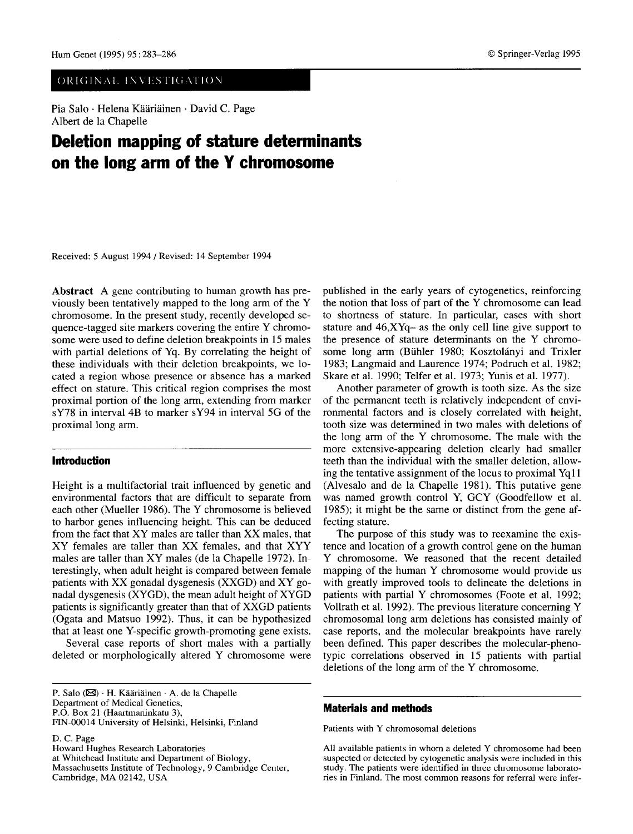# ORIGINAL INVESTIGATION

Pia Salo · Helena Kääriäinen · David C. Page Albert de la Chapelle

# **Deletion mapping of stature determinants on the long arm of the Y chromosome**

Received: 5 August 1994 / Revised: 14 September 1994

Abstract A gene contributing to human growth has previously been tentatively mapped to the long arm of the Y chromosome. In the present study, recently developed sequence-tagged site markers covering the entire Y chromosome were used to define deletion breakpoints in 15 males with partial deletions of Yq. By correlating the height of these individuals with their deletion breakpoints, we located a region whose presence or absence has a marked effect on stature. This critical region comprises the most proximal portion of the long arm, extending from marker sY78 in interval 4B to marker sY94 in interval 5G of the proximal long arm.

## **Introduction**

Height is a multifactorial trait influenced by genetic and environmental factors that are difficult to separate from each other (Mueller 1986). The Y chromosome is believed to harbor genes influencing height. This can be deduced from the fact that XY males are taller than XX males, that XY females are taller than XX females, and that XYY males are taller than XY males (de la Chapelle 1972). Interestingly, when adult height is compared between female patients with XX gonadal dysgenesis (XXGD) and XY gonadal dysgenesis (XYGD), the mean adult height of XYGD patients is significantly greater than that of XXGD patients (Ogata and Matsuo 1992). Thus, it can be hypothesized that at least one Y-specific growth-promoting gene exists.

Several case reports of short males with a partially deleted or morphologically altered Y chromosome were

P.O. Box 21 (Haartmaninkatu 3),

D. C. Page

Howard Hughes Research Laboratories at Whitehead Institute and Department of Biology, Massachusetts Institute of Technology, 9 Cambridge Center, Cambridge, MA 02142, USA

published in the early years of cytogenetics, reinforcing the notion that loss of part of the Y chromosome can lead to shortness of stature. In particular, cases with short stature and  $46, XYq$ - as the only cell line give support to the presence of stature determinants on the Y chromosome long arm (Bühler 1980; Kosztolányi and Trixler 1983; Langmaid and Laurence 1974; Podruch et al. 1982; Skare et al. 1990; Telfer et al. 1973; Yunis et al. 1977).

Another parameter of growth is tooth size. As the size of the permanent teeth is relatively independent of environmental factors and is closely correlated with height, tooth size was determined in two males with deletions of the long arm of the Y chromosome. The male with the more extensive-appearing deletion clearly had smaller teeth than the individual with the smaller deletion, allowing the tentative assignment of the locus to proximal Yq11 (Alvesalo and de la Chapelle 1981). This putative gene was named growth control Y, GCY (Goodfellow et al. 1985); it might be the same or distinct from the gene affecting stature.

The purpose of this study was to reexamine the existence and location of a growth control gene on the human Y chromosome. We reasoned that the recent detailed mapping of the human Y chromosome would provide us with greatly improved tools to delineate the deletions in patients with partial Y chromosomes (Foote et al. 1992; Vollrath et al. 1992). The previous literature concerning Y chromosomal long arm deletions has consisted mainly of case reports, and the molecular breakpoints have rarely been defined. This paper describes the molecular-phenotypic correlations observed in 15 patients with partial deletions of the long arm of the Y chromosome.

### **Materials and methods**

Patients with Y chromosomal deletions

All available patients in whom a deleted Y chromosome had been suspected or detected by cytogenetic analysis were included in this study. The patients were identified in three chromosome laboratories in Finland. The most common reasons for referral were infer-

P. Salo  $(\boxtimes)$  · H. Kääriäinen · A. de la Chapelle Department of Medical Genetics,

FIN-00014 University of Helsinki, Helsinki, Finland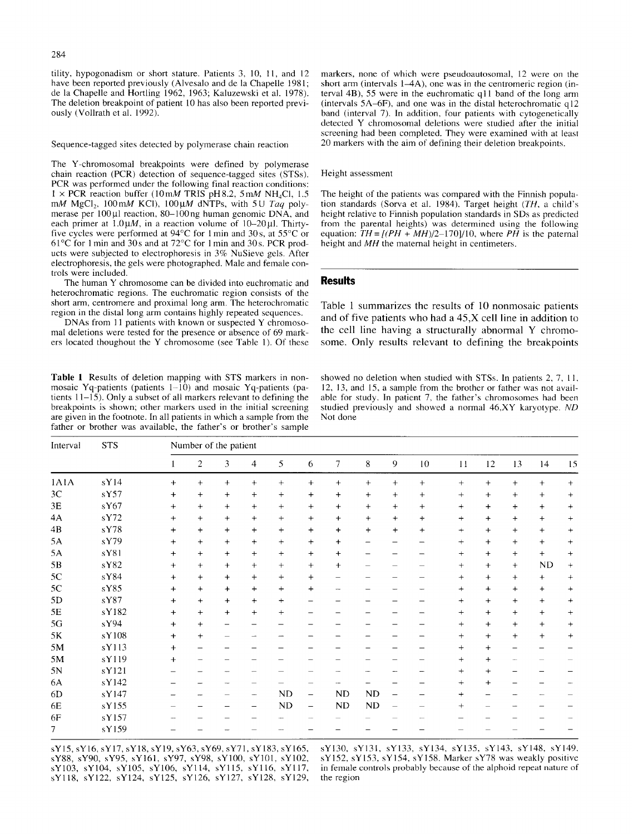284

tility, hypogonadism or short stature. Patients 3, 10, 11, and 12 have been reported previously (Alvesalo and de la Chapelle 1981; de la Chapelle and Hortling 1962, 1963; Kaluzewski et al. 1978). The deletion breakpoint of patient 10 has also been reported previously (Vollrath et al. 1992).

Sequence-tagged sites detected by polymerase chain reaction

The Y-chromosomal breakpoints were defined by polymerase chain reaction (PCR) detection of sequence-tagged sites (STSs). PCR was performed under the following final reaction conditions:  $1 \times PCR$  reaction buffer (10 mM TRIS pH8.2, 5 mM NH<sub>4</sub>Cl, 1.5) mM MgCl<sub>2</sub>, 100 mM KCl), 100  $\mu$ M dNTPs, with 5U *Taq poly*merase per  $100 \mu$ l reaction,  $80-100$ ng human genomic DNA, and each primer at  $1.0\mu$ , in a reaction volume of  $10-20\mu$ l. Thirtyfive cycles were performed at  $94^{\circ}$ C for 1 min and 30s, at  $55^{\circ}$ C or 61 $^{\circ}$ C for 1 min and 30s and at 72 $^{\circ}$ C for 1 min and 30s. PCR products were subjected to electrophoresis in 3% NuSieve gels. After electrophoresis, the gels were photographed. Male and female controls were included.

The human Y chromosome can be divided into euchromatic and heterochromatic regions. The euchromatic region consists of the short arm, centromere and proximal long arm. The heterochromatic region in the distal long arm contains highly repeated sequences.

DNAs from 11 patients with known or suspected Y chromosomal deletions were tested for the presence or absence of 69 markers located thoughout the Y chromosome (see Table 1). Of these

Table 1 Results of deletion mapping with STS markers in nonmosaic Yq-patients (patients  $1-\overline{10}$ ) and mosaic Yq-patients (patients 11-15). Only a subset of all markers relevant to defining the breakpoints is shown; other markers used in the initial screening are given in the footnote, in all patients in which a sample from the father or brother was available, the father's or brother's sample

markers, none of which were pseudoautosomal, 12 were on the short arm (intervals  $1-4A$ ), one was in the centromeric region (interval 4B), 55 were in the euchromatic ql 1 band of the long arm (intervals 5A-6F), and one was in the distal heterochromatic q12 band (interval 7). In addition, four patients with cytogenetically detected Y chromosomal deletions were studied after the initial screening had been completed. They were examined with at least 20 markers with the aim of defining their deletion breakpoints.

#### Height assessment

The height of the patients was compared with the Finnish population standards (Sorva et al. 1984). Target height *(TH,* a child's height relative to Finnish population standards in SDs as predicted from the parental heights) was determined using the following equation:  $TH = I(PH + MH)/2-1701/10$ , where  $PH$  is the paternal height and *MH* the maternal height in centimeters.

## **Results**

Table 1 summarizes the results of 10 nonmosaic patients and of five patients who had a  $45$ ,  $X$  cell line in addition to the cell line having a structurally abnormal Y chromosome. Only results relevant to defining the breakpoints

showed no deletion when studied with STSs. In patients 2, 7, 11, 12, 13, and 15, a sample from the brother or father was not available for study. In patient 7, the father's chromosomes had been studied previously and showed a normal 46,XY karyotype. *ND*  Not done

| Interval      | <b>STS</b> | Number of the patient |                |                   |                          |           |           |           |                          |        |           |           |           |           |           |        |
|---------------|------------|-----------------------|----------------|-------------------|--------------------------|-----------|-----------|-----------|--------------------------|--------|-----------|-----------|-----------|-----------|-----------|--------|
|               |            | $\mathbf{I}$          | $\overline{2}$ | 3                 | 4                        | 5         | 6         | 7         | 8                        | 9      | 10        | 11        | 12        | 13        | 14        | 15     |
| 1A1A          | sY14       | $+$                   | $+$            | $+$               | $+$                      | $+$       | $+$       | $+$       | $+$                      | $+$    | $+$       | $+$       | $+$       | $+$       | $+$       | $+$    |
| 3C            | sY57       | $+$                   | $+$            | $\ddot{}$         | $+$                      | $^{+}$    | $\ddot{}$ | $\ddot{}$ | $+$                      | $+$    | $+$       | $\ddot{}$ | $\ddot{}$ | $+$       | $+$       | $+$    |
| $3\mathsf{E}$ | sY67       | $+$                   | $+$            | $+$               | $\ddot{}$                | $+$       | $^{+}$    | $+$       | $+$                      | $^{+}$ | $^{+}$    | $\ddot{}$ | $\ddot{}$ | $\ddot{}$ | $\ddot{}$ | $^{+}$ |
| 4A            | sY72       | $+$                   | $+$            | $+$               | $+$                      | $+$       | $+$       | $^{+}$    | $+$                      | $+$    | $\ddot{}$ | $\ddot{}$ | $\ddot{}$ | $+$       | $+$       | $+$    |
| 4B            | sY78       | $+$                   | $+$            | $+$               | $\ddot{}$                | $+$       | $\ddot{}$ | $\ddot{}$ | $+$                      | $+$    | $\ddot{}$ | $^{+}$    | $\ddot{}$ | $+$       | $+$       | $+$    |
| 5A            | sY79       | $+$                   | $+$            | $+$               | $+$                      | $+$       | $\ddot{}$ | $^{+}$    | $\overline{\phantom{0}}$ |        |           | $+$       | $+$       | $+$       | $+$       | $^{+}$ |
| 5A            | sY81       | $+$                   | $+$            | $\ddot{}$         | $\ddag$                  | $\ddot{}$ | $+$       | $\ddot{}$ |                          |        |           | $\ddot{}$ | $\ddot{}$ | $+$       | $+$       | $+$    |
| $5\mathrm{B}$ | sY82       | $+$                   | $+$            | $+$               | $+$                      | $+$       | $^{+}$    | $\ddot{}$ |                          |        |           | $\ddot{}$ | $+$       | $+$       | ND        | $^{+}$ |
| 5C            | sY84       | $+$                   | $\ddot{}$      | $+$               | $+$                      | $+$       | $+$       |           |                          |        |           | $\ddot{}$ | $\ddot{}$ | $+$       | $\ddot{}$ | $+$    |
| 5C            | sY85       | $+$                   | $\ddot{}$      | $\ddot{}$         | $+$                      | $+$       | $\ddot{}$ |           |                          |        |           | $\ddot{}$ | $\ddot{}$ | $+$       | $+$       | $^{+}$ |
| 5D            | sY87       | $+$                   | $+$            | $\ddot{}$         | $+$                      | $\ddot{}$ |           |           |                          |        |           | $\ddot{}$ | $\ddot{}$ | $+$       | $+$       | $^{+}$ |
| $5\mathrm{E}$ | sY182      | $+$                   | $+$            | $\ddot{}$         | $+$                      | $+$       |           |           |                          |        |           | $\ddot{}$ | $\ddot{}$ | $+$       | $+$       | $+$    |
| 5G            | sY94       | $+$                   | $+$            | $\qquad \qquad -$ |                          |           |           |           |                          |        |           | $+$       | $+$       | $+$       | $+$       | $+$    |
| 5K            | sY108      | $+$                   | $+$            |                   |                          |           |           |           |                          |        |           | $\ddot{}$ | $\ddot{}$ | $+$       | $+$       | $^{+}$ |
| 5M            | sY113      | $+$                   |                |                   |                          |           |           |           |                          |        |           | $\ddot{}$ | $\ddot{}$ |           |           |        |
| 5M            | sY119      | $+$                   |                |                   |                          |           |           |           |                          |        |           | $\div$    | $\div$    |           |           |        |
| 5N            | sY121      |                       |                |                   |                          |           |           |           |                          |        |           | $+$       | $^{+}$    |           |           |        |
| 6A            | sY142      |                       |                |                   |                          |           |           |           |                          |        |           | $^{+}$    | $\ddot{}$ |           |           |        |
| 6D            | sY147      |                       |                |                   | $\sim$                   | ND        | —         | <b>ND</b> | ND                       |        |           | $+$       |           |           |           |        |
| 6E            | sY155      |                       |                |                   | $\overline{\phantom{0}}$ | ND        | -         | ND        | ND                       |        |           | $^{+}$    |           |           |           |        |
| 6F            | sY157      |                       |                |                   |                          |           |           |           |                          |        |           |           |           |           |           |        |
| 7             | sY159      |                       |                |                   |                          |           |           |           |                          |        |           |           |           |           |           |        |

sYl5, sY16, sY17, sY18, sY19, sY63, sY69, sY71, sY183, sY165, sY88, sY90, sY95, sY161, sY97, sY98, sYl00, sYl0l, sY102, sY103, sY104, sY105, sY106, sYll4, sYll5, sYll6, sYll7, sYll8, sY122, sY124, sY125, sY126, sY127, sY128, sY129, sYl30, sY131, sY133, sY134, sY135, sY143, sY148, sY149. sY152, sY153, sY154, sY158. Marker sY78 was weakly positive in female controls probably because of the alphoid repeat nature of the region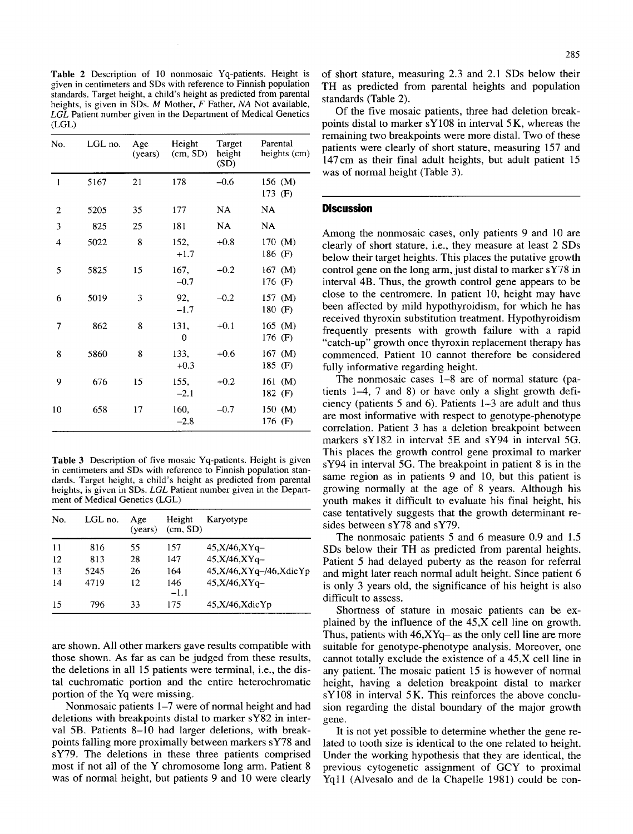Table 2 Description of 10 nonmosaic Yq-patients. Height is given in centimeters and SDs with reference to Finnish population standards. Target height, a child's height as predicted from parental heights, is given in SDs. M Mother, F Father, *NA* Not available, *LGL* Patient number given in the Department of Medical Genetics (LGL)

| No.            | LGL no. | Age<br>(years) | Height<br>(cm, SD) | Target<br>height<br>(SD) | Parental<br>heights (cm) |  |  |
|----------------|---------|----------------|--------------------|--------------------------|--------------------------|--|--|
| $\mathbf{1}$   | 5167    | 21             | 178                | $-0.6$                   | 156 (M)<br>173 $(F)$     |  |  |
| $\overline{2}$ | 5205    | 35             | 177                | NA                       | NA                       |  |  |
| 3              | 825     | 25             | 181                | NA                       | NA                       |  |  |
| 4              | 5022    | 8              | 152,<br>$+1.7$     | $+0.8$                   | 170 (M)<br>186 (F)       |  |  |
| 5              | 5825    | 15             | 167,<br>$-0.7$     | $+0.2$                   | $167$ (M)<br>176 (F)     |  |  |
| 6              | 5019    | 3              | 92,<br>$-1.7$      | $-0.2$                   | $157$ (M)<br>180 (F)     |  |  |
| 7              | 862     | 8              | 131,<br>0          | $+0.1$                   | $165$ (M)<br>176 (F)     |  |  |
| 8              | 5860    | 8              | 133,<br>$+0.3$     | $+0.6$                   | 167 $(M)$<br>185 (F)     |  |  |
| 9              | 676     | 15             | 155,<br>$-2.1$     | $+0.2$                   | $161$ (M)<br>182 $(F)$   |  |  |
| 10             | 658     | 17             | 160,<br>$-2.8$     | $-0.7$                   | 150 (M)<br>176 (F)       |  |  |

Table 3 Description of five mosaic Yq-patients. Height is given in centimeters and SDs with reference to Finnish population standards. Target height, a child's height as predicted from parental heights, is given in SDs. *LGL* Patient number given in the Department of Medical Genetics (LGL)

| No. | LGL no. | Age | Height<br>$(years)$ $(cm, SD)$ | Karyotype                  |  |  |  |  |
|-----|---------|-----|--------------------------------|----------------------------|--|--|--|--|
| 11  | 816     | 55  | 157                            | $45.X/46.XYq-$             |  |  |  |  |
| 12  | 813     | 28  | 147                            | 45,X/46,XYq-               |  |  |  |  |
| 13  | 5245    | 26  | 164                            | 45, X/46, XYq-/46, Xdic Yp |  |  |  |  |
| 14  | 4719    | 12  | 146<br>$-1.1$                  | 45, X/46, XY <sub>q</sub>  |  |  |  |  |
| 15  | 796     | 33  | 175                            | 45, X/46, XdicYp           |  |  |  |  |

are shown. All other markers gave results compatible with those shown. As far as can be judged from these results, the deletions in all 15 patients were terminal, i.e., the distal euchromatic portion and the entire heterochromatic portion of the Yq were missing.

Nonmosaic patients 1–7 were of normal height and had deletions with breakpoints distal to marker sY82 in interval 5B. Patients 8-10 had larger deletions, with breakpoints falling more proximally between markers sY78 and sY79. The deletions in these three patients comprised most if not all of the Y chromosome long arm. Patient 8 was of normal height, but patients 9 and 10 were clearly

of short stature, measuring 2.3 and 2.1 SDs below their TH as predicted from parental heights and population standards (Table 2).

Of the five mosaic patients, three had deletion breakpoints distal to marker sY108 in interval 5 K, whereas the remaining two breakpoints were more distal. Two of these patients were clearly of short stature, measuring 157 and 147cm as their final adult heights, but adult patient 15 was of normal height (Table 3).

## **Discussion**

Among the nonmosaic cases, only patients 9 and 10 are clearly of short stature, i.e., they measure at least 2 SDs below their target heights. This places the putative growth control gene on the long arm, just distal to marker sY78 in interval 4B. Thus, the growth control gene appears to be close to the centromere. In patient 10, height may have been affected by mild hypothyroidism, for which he has received thyroxin substitution treatment. Hypothyroidism frequently presents with growth failure with a rapid "catch-up" growth once thyroxin replacement therapy has commenced. Patient 10 cannot therefore be considered fully informative regarding height.

The nonmosaic cases 1-8 are of normal stature (patients 1-4, 7 and 8) or have only a slight growth deficiency (patients 5 and 6). Patients 1-3 are adult and thus are most informative with respect to genotype-phenotype correlation. Patient 3 has a deletion breakpoint between markers sY182 in interval 5E and sY94 in interval 5G. This places the growth control gene proximal to marker sY94 in interval 5G. The breakpoint in patient 8 is in the same region as in patients 9 and 10, but this patient is growing normally at the age of 8 years. Although his youth makes it difficult to evaluate his final height, his case tentatively suggests that the growth determinant resides between sY78 and sY79.

The nonmosaic patients 5 and 6 measure 0.9 and 1.5 SDs below their TH as predicted from parental heights. Patient 5 had delayed puberty as the reason for referral and might later reach normal adult height. Since patient 6 is only 3 years old, the significance of his height is also difficult to assess.

Shortness of stature in mosaic patients can be explained by the influence of the 45,X cell line on growth. Thus, patients with  $46, XYq$  as the only cell line are more suitable for genotype-phenotype analysis. Moreover, one cannot totally exclude the existence of a 45,X cell line in any patient. The mosaic patient 15 is however of normal height, having a deletion breakpoint distal to marker  $sY108$  in interval 5K. This reinforces the above conclusion regarding the distal boundary of the major growth gene.

It is not yet possible to determine whether the gene related to tooth size is identical to the one related to height. Under the working hypothesis that they are identical, the previous cytogenetic assignment of GCY to proximal Yqll (Alvesalo and de la Chapelle 1981) could be **con-**